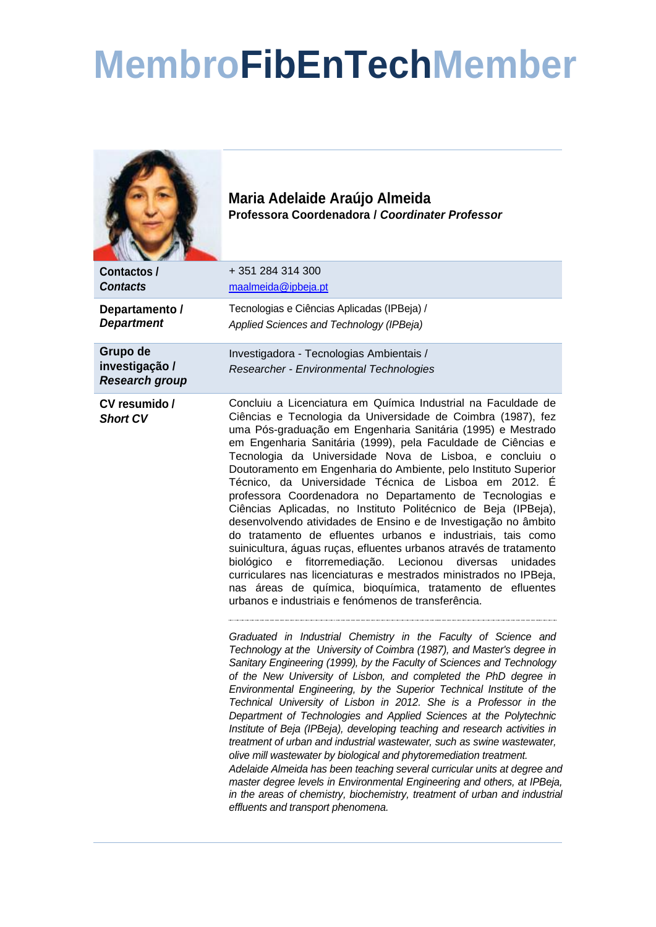## **MembroFibEnTechMember**



**Maria Adelaide Araújo Almeida Professora Coordenadora /** *Coordinater Professor*

| Contactos /<br><b>Contacts</b>                      | +351 284 314 300<br>maalmeida@ipbeja.pt                                                                                                                                                                                                                                                                                                                                                                                                                                                                                                                                                                                                                                                                                                                                                                                                                                                                                                                                                                                                                  |
|-----------------------------------------------------|----------------------------------------------------------------------------------------------------------------------------------------------------------------------------------------------------------------------------------------------------------------------------------------------------------------------------------------------------------------------------------------------------------------------------------------------------------------------------------------------------------------------------------------------------------------------------------------------------------------------------------------------------------------------------------------------------------------------------------------------------------------------------------------------------------------------------------------------------------------------------------------------------------------------------------------------------------------------------------------------------------------------------------------------------------|
| Departamento /<br><b>Department</b>                 | Tecnologias e Ciências Aplicadas (IPBeja) /<br>Applied Sciences and Technology (IPBeja)                                                                                                                                                                                                                                                                                                                                                                                                                                                                                                                                                                                                                                                                                                                                                                                                                                                                                                                                                                  |
| Grupo de<br>investigação /<br><b>Research group</b> | Investigadora - Tecnologias Ambientais /<br>Researcher - Environmental Technologies                                                                                                                                                                                                                                                                                                                                                                                                                                                                                                                                                                                                                                                                                                                                                                                                                                                                                                                                                                      |
| CV resumido /<br><b>Short CV</b>                    | Concluiu a Licenciatura em Química Industrial na Faculdade de<br>Ciências e Tecnologia da Universidade de Coimbra (1987), fez<br>uma Pós-graduação em Engenharia Sanitária (1995) e Mestrado<br>em Engenharia Sanitária (1999), pela Faculdade de Ciências e<br>Tecnologia da Universidade Nova de Lisboa, e concluiu o<br>Doutoramento em Engenharia do Ambiente, pelo Instituto Superior<br>Técnico, da Universidade Técnica de Lisboa em 2012. É<br>professora Coordenadora no Departamento de Tecnologias e<br>Ciências Aplicadas, no Instituto Politécnico de Beja (IPBeja),<br>desenvolvendo atividades de Ensino e de Investigação no âmbito<br>do tratamento de efluentes urbanos e industriais, tais como<br>suinicultura, águas ruças, efluentes urbanos através de tratamento<br>fitorremediação. Lecionou<br>biológico<br>e<br>diversas<br>unidades<br>curriculares nas licenciaturas e mestrados ministrados no IPBeja,<br>nas áreas de química, bioquímica, tratamento de efluentes<br>urbanos e industriais e fenómenos de transferência. |
|                                                     | Graduated in Industrial Chemistry in the Faculty of Science and<br>Technology at the University of Coimbra (1987), and Master's degree in<br>Sanitary Engineering (1999), by the Faculty of Sciences and Technology<br>of the New University of Lisbon, and completed the PhD degree in<br>Environmental Engineering, by the Superior Technical Institute of the<br>Technical University of Lisbon in 2012. She is a Professor in the<br>Department of Technologies and Applied Sciences at the Polytechnic<br>Institute of Beja (IPBeja), developing teaching and research activities in<br>treatment of urban and industrial wastewater, such as swine wastewater,<br>olive mill wastewater by biological and phytoremediation treatment.<br>Adelaide Almeida has been teaching several curricular units at degree and<br>master degree levels in Environmental Engineering and others, at IPBeja,<br>in the areas of chemistry, biochemistry, treatment of urban and industrial<br>effluents and transport phenomena.                                 |